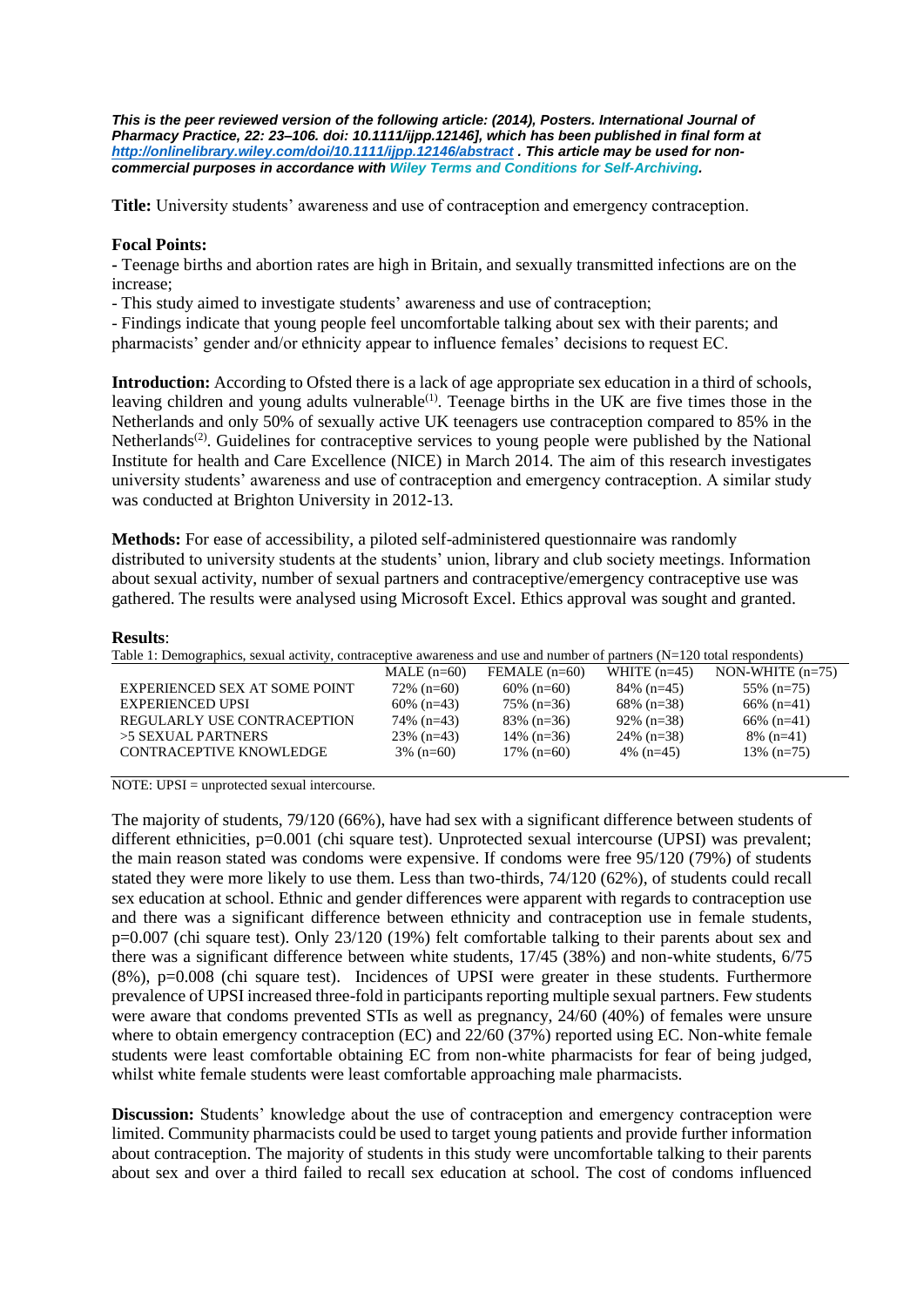*This is the peer reviewed version of the following article: (2014), Posters. International Journal of Pharmacy Practice, 22: 23–106. doi: 10.1111/ijpp.12146], which has been published in final form at <http://onlinelibrary.wiley.com/doi/10.1111/ijpp.12146/abstract> . This article may be used for noncommercial purposes in accordance with Wiley Terms and Conditions for [Self-Archiving.](http://olabout.wiley.com/WileyCDA/Section/id-820227.html#terms)*

**Title:** University students' awareness and use of contraception and emergency contraception.

## **Focal Points:**

**-** Teenage births and abortion rates are high in Britain, and sexually transmitted infections are on the increase;

- This study aimed to investigate students' awareness and use of contraception;

- Findings indicate that young people feel uncomfortable talking about sex with their parents; and pharmacists' gender and/or ethnicity appear to influence females' decisions to request EC.

**Introduction:** According to Ofsted there is a lack of age appropriate sex education in a third of schools, leaving children and young adults vulnerable<sup>[\(1\)](#page-1-0)</sup>. Teenage births in the UK are five times those in the Netherlands and only 50% of sexually active UK teenagers use contraception compared to 85% in the Netherlands<sup>[\(2\)](#page-1-1)</sup>. Guidelines for contraceptive services to young people were published by the National Institute for health and Care Excellence (NICE) in March 2014. The aim of this research investigates university students' awareness and use of contraception and emergency contraception. A similar study was conducted at Brighton University in 2012-13.

**Methods:** For ease of accessibility, a piloted self-administered questionnaire was randomly distributed to university students at the students' union, library and club society meetings. Information about sexual activity, number of sexual partners and contraceptive/emergency contraceptive use was gathered. The results were analysed using Microsoft Excel. Ethics approval was sought and granted.

## **Results**:

| Table 1: Demographics, sexual activity, contraceptive awareness and use and number of partners (N=120 total respondents) |              |            |               |                                                                 |  |  |
|--------------------------------------------------------------------------------------------------------------------------|--------------|------------|---------------|-----------------------------------------------------------------|--|--|
|                                                                                                                          |              |            |               | MALE $(n=60)$ FEMALE $(n=60)$ WHITE $(n=45)$ NON-WHITE $(n=75)$ |  |  |
| EVPERIENCED SEV AT SOME POINT                                                                                            | $72%$ (n-60) | 60% (n–60) | $840/6(n-45)$ | 55% $(n-75)$                                                    |  |  |

| EXPERIENCED SEX AT SOME POINT | $72\%$ (n=60) | $60\%$ (n=60) | $84\%$ (n=45) | $55\%$ (n=75) |
|-------------------------------|---------------|---------------|---------------|---------------|
| <b>EXPERIENCED UPSI</b>       | $60\%$ (n=43) | $75\%$ (n=36) | $68\%$ (n=38) | $66\%$ (n=41) |
| REGULARLY USE CONTRACEPTION   | $74\%$ (n=43) | $83\%$ (n=36) | $92\%$ (n=38) | 66\% $(n=41)$ |
| >5 SEXUAL PARTNERS            | $23\%$ (n=43) | 14\% $(n=36)$ | $24\%$ (n=38) | $8\%$ (n=41)  |
| CONTRACEPTIVE KNOWLEDGE       | $3\%$ (n=60)  | $17\%$ (n=60) | 4\% $(n=45)$  | $13\%$ (n=75) |
|                               |               |               |               |               |

NOTE: UPSI = unprotected sexual intercourse.

The majority of students, 79/120 (66%), have had sex with a significant difference between students of different ethnicities, p=0.001 (chi square test). Unprotected sexual intercourse (UPSI) was prevalent; the main reason stated was condoms were expensive. If condoms were free 95/120 (79%) of students stated they were more likely to use them. Less than two-thirds, 74/120 (62%), of students could recall sex education at school. Ethnic and gender differences were apparent with regards to contraception use and there was a significant difference between ethnicity and contraception use in female students, p=0.007 (chi square test). Only 23/120 (19%) felt comfortable talking to their parents about sex and there was a significant difference between white students, 17/45 (38%) and non-white students, 6/75 (8%), p=0.008 (chi square test). Incidences of UPSI were greater in these students. Furthermore prevalence of UPSI increased three-fold in participants reporting multiple sexual partners. Few students were aware that condoms prevented STIs as well as pregnancy, 24/60 (40%) of females were unsure where to obtain emergency contraception (EC) and  $22/60$  (37%) reported using EC. Non-white female students were least comfortable obtaining EC from non-white pharmacists for fear of being judged, whilst white female students were least comfortable approaching male pharmacists.

**Discussion:** Students' knowledge about the use of contraception and emergency contraception were limited. Community pharmacists could be used to target young patients and provide further information about contraception. The majority of students in this study were uncomfortable talking to their parents about sex and over a third failed to recall sex education at school. The cost of condoms influenced